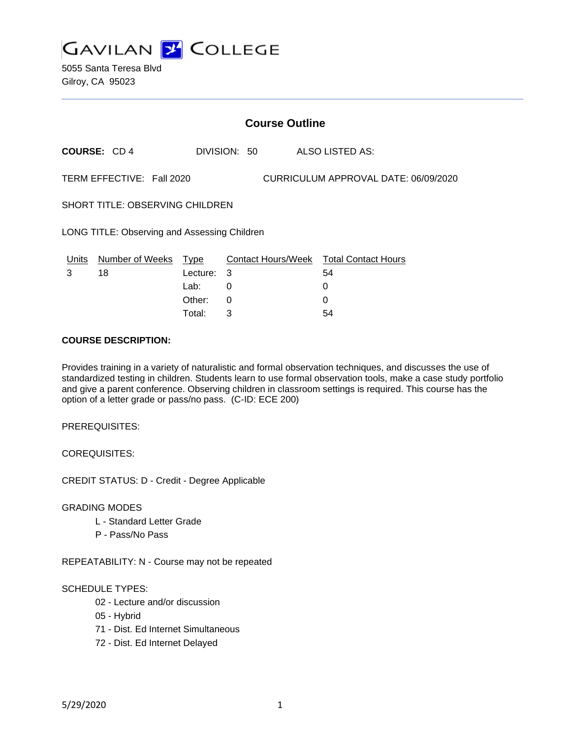

|                                                                   | <b>Course Outline</b> |          |              |  |                                        |  |
|-------------------------------------------------------------------|-----------------------|----------|--------------|--|----------------------------------------|--|
|                                                                   | <b>COURSE: CD4</b>    |          | DIVISION: 50 |  | ALSO LISTED AS:                        |  |
| TERM EFFECTIVE: Fall 2020<br>CURRICULUM APPROVAL DATE: 06/09/2020 |                       |          |              |  |                                        |  |
| <b>SHORT TITLE: OBSERVING CHILDREN</b>                            |                       |          |              |  |                                        |  |
| LONG TITLE: Observing and Assessing Children                      |                       |          |              |  |                                        |  |
| Units                                                             | Number of Weeks Type  |          |              |  | Contact Hours/Week Total Contact Hours |  |
| 3                                                                 | 18                    | Lecture: | 3            |  | 54                                     |  |
|                                                                   |                       | Lab:     | 0            |  | 0                                      |  |
|                                                                   |                       | Other:   | 0            |  | $\Omega$                               |  |
|                                                                   |                       | Total:   | 3            |  | 54                                     |  |

#### **COURSE DESCRIPTION:**

Provides training in a variety of naturalistic and formal observation techniques, and discusses the use of standardized testing in children. Students learn to use formal observation tools, make a case study portfolio and give a parent conference. Observing children in classroom settings is required. This course has the option of a letter grade or pass/no pass. (C-ID: ECE 200)

PREREQUISITES:

COREQUISITES:

CREDIT STATUS: D - Credit - Degree Applicable

GRADING MODES

- L Standard Letter Grade
- P Pass/No Pass

REPEATABILITY: N - Course may not be repeated

#### SCHEDULE TYPES:

- 02 Lecture and/or discussion
- 05 Hybrid
- 71 Dist. Ed Internet Simultaneous
- 72 Dist. Ed Internet Delayed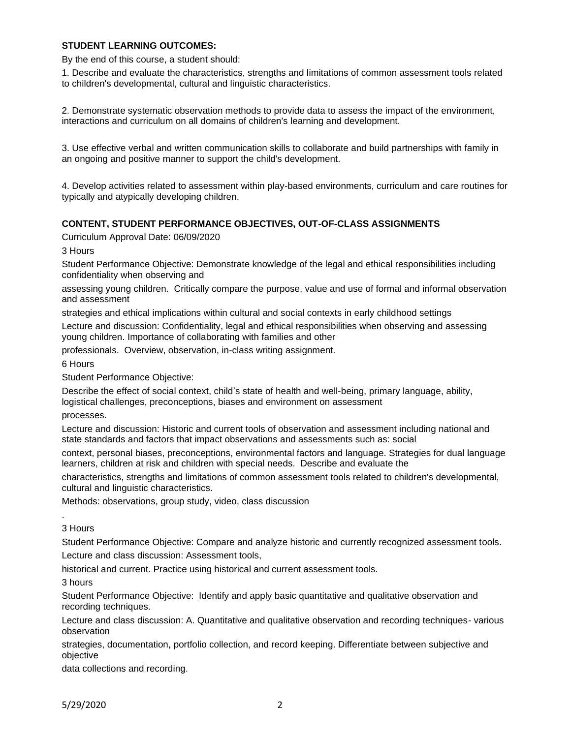### **STUDENT LEARNING OUTCOMES:**

By the end of this course, a student should:

1. Describe and evaluate the characteristics, strengths and limitations of common assessment tools related to children's developmental, cultural and linguistic characteristics.

2. Demonstrate systematic observation methods to provide data to assess the impact of the environment, interactions and curriculum on all domains of children's learning and development.

3. Use effective verbal and written communication skills to collaborate and build partnerships with family in an ongoing and positive manner to support the child's development.

4. Develop activities related to assessment within play-based environments, curriculum and care routines for typically and atypically developing children.

#### **CONTENT, STUDENT PERFORMANCE OBJECTIVES, OUT-OF-CLASS ASSIGNMENTS**

Curriculum Approval Date: 06/09/2020

3 Hours

Student Performance Objective: Demonstrate knowledge of the legal and ethical responsibilities including confidentiality when observing and

assessing young children. Critically compare the purpose, value and use of formal and informal observation and assessment

strategies and ethical implications within cultural and social contexts in early childhood settings

Lecture and discussion: Confidentiality, legal and ethical responsibilities when observing and assessing young children. Importance of collaborating with families and other

professionals. Overview, observation, in-class writing assignment.

6 Hours

Student Performance Objective:

Describe the effect of social context, child's state of health and well-being, primary language, ability, logistical challenges, preconceptions, biases and environment on assessment

processes.

Lecture and discussion: Historic and current tools of observation and assessment including national and state standards and factors that impact observations and assessments such as: social

context, personal biases, preconceptions, environmental factors and language. Strategies for dual language learners, children at risk and children with special needs. Describe and evaluate the

characteristics, strengths and limitations of common assessment tools related to children's developmental, cultural and linguistic characteristics.

Methods: observations, group study, video, class discussion

3 Hours

.

Student Performance Objective: Compare and analyze historic and currently recognized assessment tools. Lecture and class discussion: Assessment tools,

historical and current. Practice using historical and current assessment tools.

3 hours

Student Performance Objective: Identify and apply basic quantitative and qualitative observation and recording techniques.

Lecture and class discussion: A. Quantitative and qualitative observation and recording techniques- various observation

strategies, documentation, portfolio collection, and record keeping. Differentiate between subjective and objective

data collections and recording.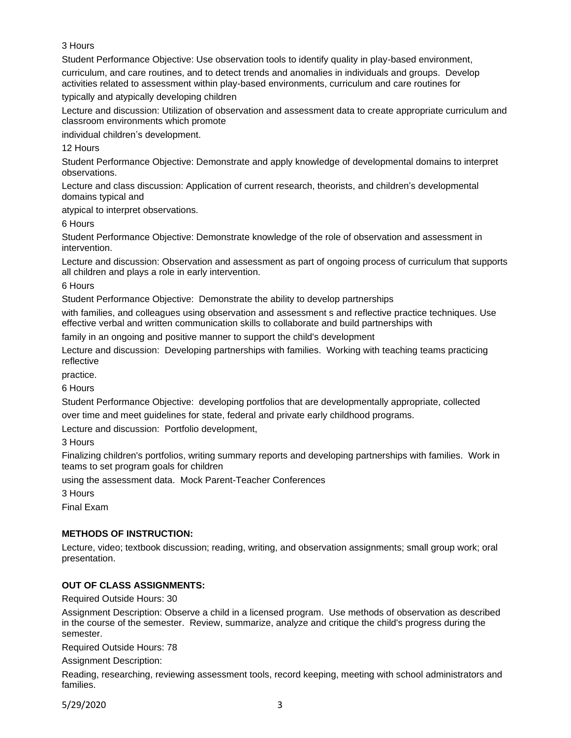### 3 Hours

Student Performance Objective: Use observation tools to identify quality in play-based environment,

curriculum, and care routines, and to detect trends and anomalies in individuals and groups. Develop activities related to assessment within play-based environments, curriculum and care routines for

typically and atypically developing children

Lecture and discussion: Utilization of observation and assessment data to create appropriate curriculum and classroom environments which promote

individual children's development.

12 Hours

Student Performance Objective: Demonstrate and apply knowledge of developmental domains to interpret observations.

Lecture and class discussion: Application of current research, theorists, and children's developmental domains typical and

atypical to interpret observations.

6 Hours

Student Performance Objective: Demonstrate knowledge of the role of observation and assessment in intervention.

Lecture and discussion: Observation and assessment as part of ongoing process of curriculum that supports all children and plays a role in early intervention.

6 Hours

Student Performance Objective: Demonstrate the ability to develop partnerships

with families, and colleagues using observation and assessment s and reflective practice techniques. Use effective verbal and written communication skills to collaborate and build partnerships with

family in an ongoing and positive manner to support the child's development

Lecture and discussion: Developing partnerships with families. Working with teaching teams practicing reflective

practice.

6 Hours

Student Performance Objective: developing portfolios that are developmentally appropriate, collected over time and meet guidelines for state, federal and private early childhood programs.

Lecture and discussion: Portfolio development,

3 Hours

Finalizing children's portfolios, writing summary reports and developing partnerships with families. Work in teams to set program goals for children

using the assessment data. Mock Parent-Teacher Conferences

3 Hours

Final Exam

### **METHODS OF INSTRUCTION:**

Lecture, video; textbook discussion; reading, writing, and observation assignments; small group work; oral presentation.

### **OUT OF CLASS ASSIGNMENTS:**

Required Outside Hours: 30

Assignment Description: Observe a child in a licensed program. Use methods of observation as described in the course of the semester. Review, summarize, analyze and critique the child's progress during the semester.

Required Outside Hours: 78

Assignment Description:

Reading, researching, reviewing assessment tools, record keeping, meeting with school administrators and families.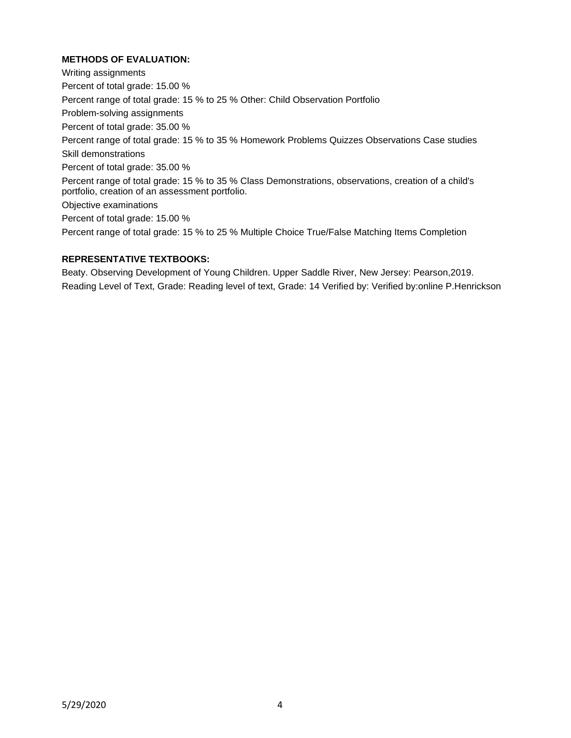# **METHODS OF EVALUATION:**

Writing assignments Percent of total grade: 15.00 % Percent range of total grade: 15 % to 25 % Other: Child Observation Portfolio Problem-solving assignments Percent of total grade: 35.00 % Percent range of total grade: 15 % to 35 % Homework Problems Quizzes Observations Case studies Skill demonstrations Percent of total grade: 35.00 % Percent range of total grade: 15 % to 35 % Class Demonstrations, observations, creation of a child's portfolio, creation of an assessment portfolio. Objective examinations Percent of total grade: 15.00 % Percent range of total grade: 15 % to 25 % Multiple Choice True/False Matching Items Completion

# **REPRESENTATIVE TEXTBOOKS:**

Beaty. Observing Development of Young Children. Upper Saddle River, New Jersey: Pearson,2019. Reading Level of Text, Grade: Reading level of text, Grade: 14 Verified by: Verified by:online P.Henrickson